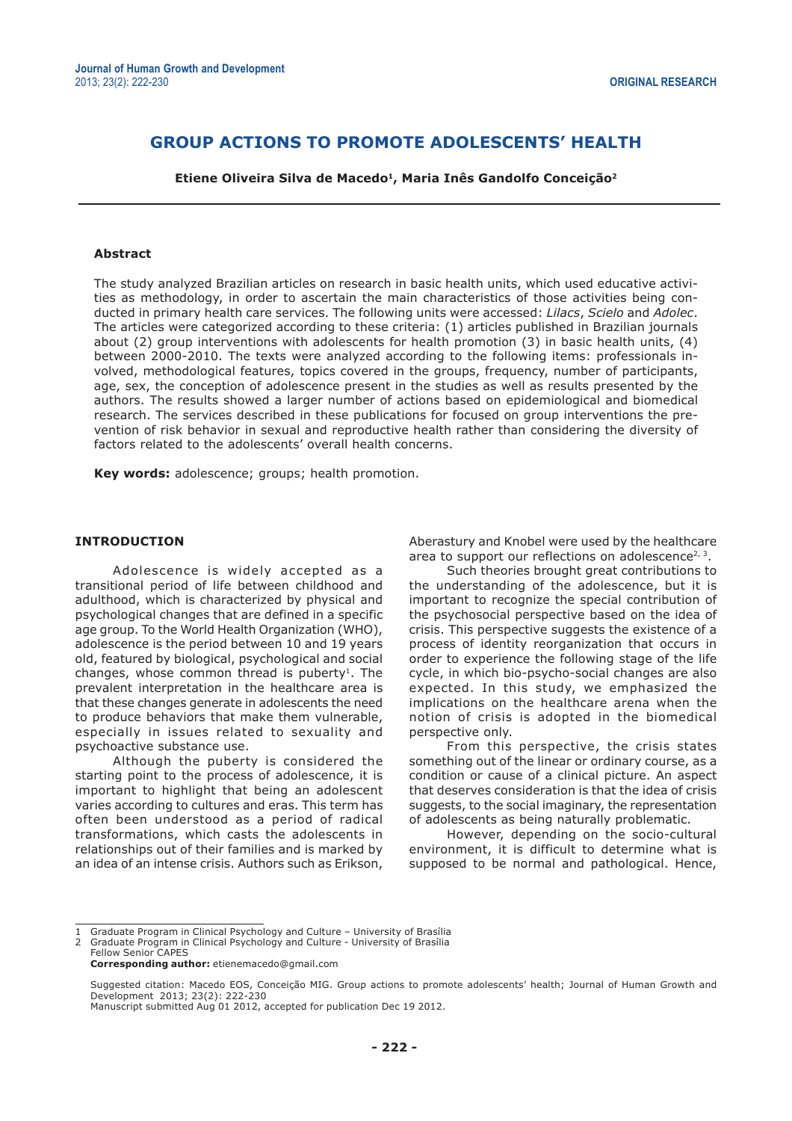# **GROUP ACTIONS TO PROMOTE ADOLESCENTS' HEALTH**

**Etiene Oliveira Silva de Macedo1, Maria Inês Gandolfo Conceição2**

### **Abstract**

The study analyzed Brazilian articles on research in basic health units, which used educative activities as methodology, in order to ascertain the main characteristics of those activities being conducted in primary health care services. The following units were accessed: *Lilacs*, *Scielo* and *Adolec*. The articles were categorized according to these criteria: (1) articles published in Brazilian journals about (2) group interventions with adolescents for health promotion (3) in basic health units, (4) between 2000-2010. The texts were analyzed according to the following items: professionals involved, methodological features, topics covered in the groups, frequency, number of participants, age, sex, the conception of adolescence present in the studies as well as results presented by the authors. The results showed a larger number of actions based on epidemiological and biomedical research. The services described in these publications for focused on group interventions the prevention of risk behavior in sexual and reproductive health rather than considering the diversity of factors related to the adolescents' overall health concerns.

**Key words:** adolescence; groups; health promotion.

#### **INTRODUCTION**

Adolescence is widely accepted as a transitional period of life between childhood and adulthood, which is characterized by physical and psychological changes that are defined in a specific age group. To the World Health Organization (WHO), adolescence is the period between 10 and 19 years old, featured by biological, psychological and social changes, whose common thread is puberty<sup>1</sup>. The prevalent interpretation in the healthcare area is that these changes generate in adolescents the need to produce behaviors that make them vulnerable, especially in issues related to sexuality and psychoactive substance use.

Although the puberty is considered the starting point to the process of adolescence, it is important to highlight that being an adolescent varies according to cultures and eras. This term has often been understood as a period of radical transformations, which casts the adolescents in relationships out of their families and is marked by an idea of an intense crisis. Authors such as Erikson, Aberastury and Knobel were used by the healthcare area to support our reflections on adolescence<sup>2, 3</sup>.

Such theories brought great contributions to the understanding of the adolescence, but it is important to recognize the special contribution of the psychosocial perspective based on the idea of crisis. This perspective suggests the existence of a process of identity reorganization that occurs in order to experience the following stage of the life cycle, in which bio-psycho-social changes are also expected. In this study, we emphasized the implications on the healthcare arena when the notion of crisis is adopted in the biomedical perspective only.

From this perspective, the crisis states something out of the linear or ordinary course, as a condition or cause of a clinical picture. An aspect that deserves consideration is that the idea of crisis suggests, to the social imaginary, the representation of adolescents as being naturally problematic.

However, depending on the socio-cultural environment, it is difficult to determine what is supposed to be normal and pathological. Hence,

<sup>1</sup> Graduate Program in Clinical Psychology and Culture – University of Brasília 2 Graduate Program in Clinical Psychology and Culture - University of Brasília

Fellow Senior CAPES

**Corresponding author:** etienemacedo@gmail.com

Suggested citation: Macedo EOS, Conceição MIG. Group actions to promote adolescents' health; Journal of Human Growth and Development 2013; 23(2): 222-230 Manuscript submitted Aug 01 2012, accepted for publication Dec 19 2012.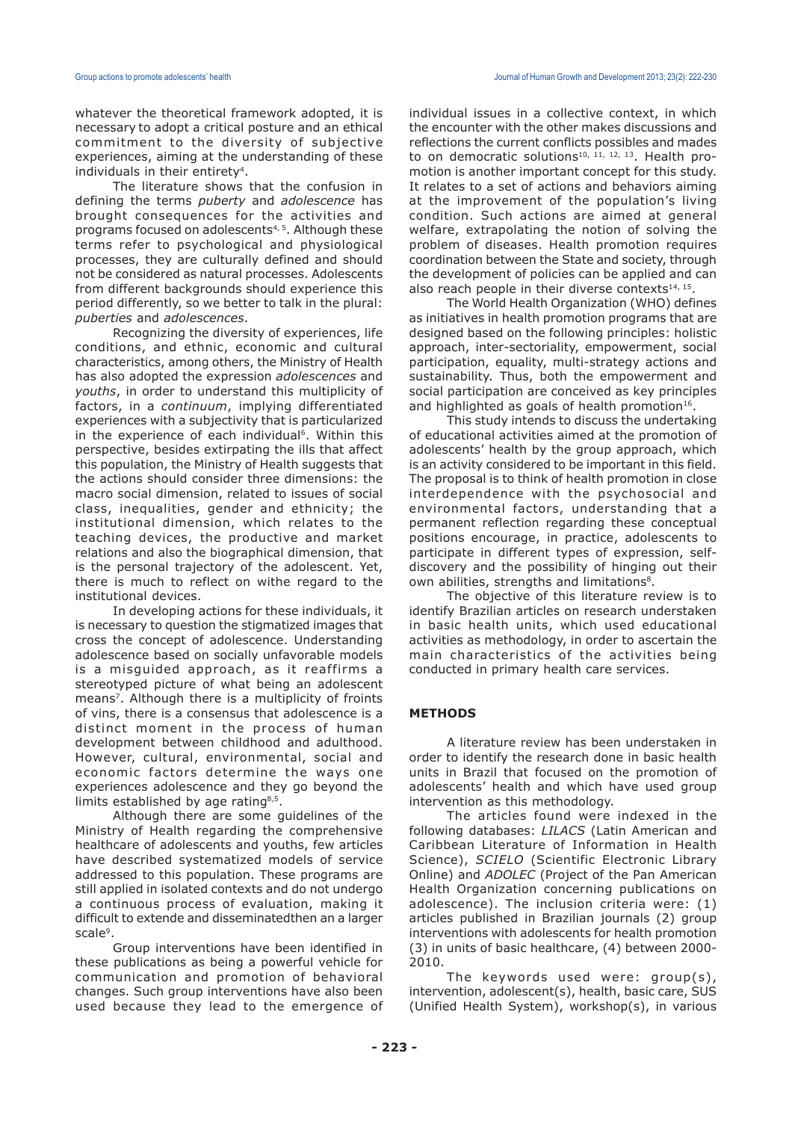whatever the theoretical framework adopted, it is necessary to adopt a critical posture and an ethical commitment to the diversity of subjective experiences, aiming at the understanding of these individuals in their entirety<sup>4</sup>.

The literature shows that the confusion in defining the terms *puberty* and *adolescence* has brought consequences for the activities and programs focused on adolescents4, 5. Although these terms refer to psychological and physiological processes, they are culturally defined and should not be considered as natural processes. Adolescents from different backgrounds should experience this period differently, so we better to talk in the plural: *puberties* and *adolescences*.

Recognizing the diversity of experiences, life conditions, and ethnic, economic and cultural characteristics, among others, the Ministry of Health has also adopted the expression *adolescences* and *youths*, in order to understand this multiplicity of factors, in a *continuum*, implying differentiated experiences with a subjectivity that is particularized in the experience of each individual<sup>6</sup>. Within this perspective, besides extirpating the ills that affect this population, the Ministry of Health suggests that the actions should consider three dimensions: the macro social dimension, related to issues of social class, inequalities, gender and ethnicity; the institutional dimension, which relates to the teaching devices, the productive and market relations and also the biographical dimension, that is the personal trajectory of the adolescent. Yet, there is much to reflect on withe regard to the institutional devices.

In developing actions for these individuals, it is necessary to question the stigmatized images that cross the concept of adolescence. Understanding adolescence based on socially unfavorable models is a misguided approach, as it reaffirms a stereotyped picture of what being an adolescent means<sup>7</sup>. Although there is a multiplicity of froints of vins, there is a consensus that adolescence is a distinct moment in the process of human development between childhood and adulthood. However, cultural, environmental, social and economic factors determine the ways one experiences adolescence and they go beyond the limits established by age rating<sup>8,5</sup>.

Although there are some guidelines of the Ministry of Health regarding the comprehensive healthcare of adolescents and youths, few articles have described systematized models of service addressed to this population. These programs are still applied in isolated contexts and do not undergo a continuous process of evaluation, making it difficult to extende and disseminatedthen an a larger scale<sup>9</sup>.

Group interventions have been identified in these publications as being a powerful vehicle for communication and promotion of behavioral changes. Such group interventions have also been used because they lead to the emergence of individual issues in a collective context, in which the encounter with the other makes discussions and reflections the current conflicts possibles and mades to on democratic solutions<sup>10, 11, 12, 13</sup>. Health promotion is another important concept for this study. It relates to a set of actions and behaviors aiming at the improvement of the population's living condition. Such actions are aimed at general welfare, extrapolating the notion of solving the problem of diseases. Health promotion requires coordination between the State and society, through the development of policies can be applied and can also reach people in their diverse contexts $14, 15$ .

The World Health Organization (WHO) defines as initiatives in health promotion programs that are designed based on the following principles: holistic approach, inter-sectoriality, empowerment, social participation, equality, multi-strategy actions and sustainability. Thus, both the empowerment and social participation are conceived as key principles and highlighted as goals of health promotion $16$ .

This study intends to discuss the undertaking of educational activities aimed at the promotion of adolescents' health by the group approach, which is an activity considered to be important in this field. The proposal is to think of health promotion in close interdependence with the psychosocial and environmental factors, understanding that a permanent reflection regarding these conceptual positions encourage, in practice, adolescents to participate in different types of expression, selfdiscovery and the possibility of hinging out their own abilities, strengths and limitations<sup>8</sup>.

The objective of this literature review is to identify Brazilian articles on research understaken in basic health units, which used educational activities as methodology, in order to ascertain the main characteristics of the activities being conducted in primary health care services.

## **METHODS**

A literature review has been understaken in order to identify the research done in basic health units in Brazil that focused on the promotion of adolescents' health and which have used group intervention as this methodology.

The articles found were indexed in the following databases: *LILACS* (Latin American and Caribbean Literature of Information in Health Science), *SCIELO* (Scientific Electronic Library Online) and *ADOLEC* (Project of the Pan American Health Organization concerning publications on adolescence). The inclusion criteria were: (1) articles published in Brazilian journals (2) group interventions with adolescents for health promotion (3) in units of basic healthcare, (4) between 2000- 2010.

The keywords used were: group(s), intervention, adolescent(s), health, basic care, SUS (Unified Health System), workshop(s), in various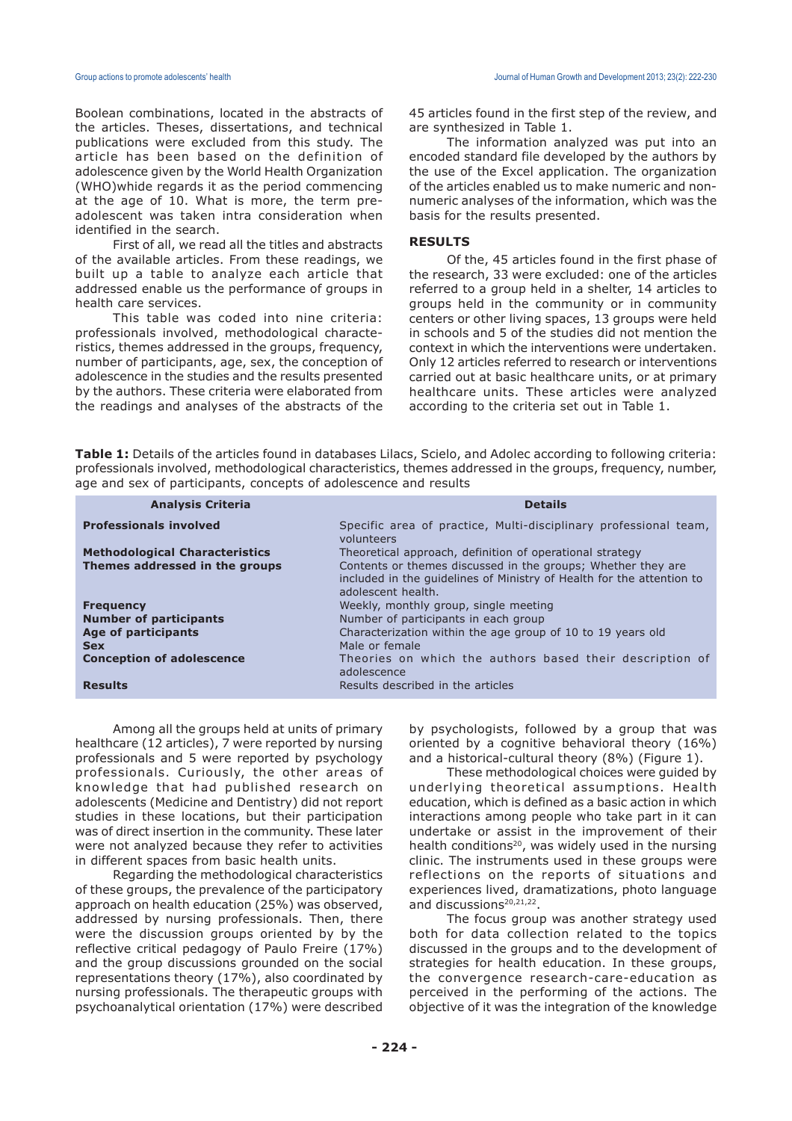Boolean combinations, located in the abstracts of the articles. Theses, dissertations, and technical publications were excluded from this study. The article has been based on the definition of adolescence given by the World Health Organization (WHO)whide regards it as the period commencing at the age of 10. What is more, the term preadolescent was taken intra consideration when identified in the search.

First of all, we read all the titles and abstracts of the available articles. From these readings, we built up a table to analyze each article that addressed enable us the performance of groups in health care services.

This table was coded into nine criteria: professionals involved, methodological characteristics, themes addressed in the groups, frequency, number of participants, age, sex, the conception of adolescence in the studies and the results presented by the authors. These criteria were elaborated from the readings and analyses of the abstracts of the 45 articles found in the first step of the review, and are synthesized in Table 1.

The information analyzed was put into an encoded standard file developed by the authors by the use of the Excel application. The organization of the articles enabled us to make numeric and nonnumeric analyses of the information, which was the basis for the results presented.

## **RESULTS**

Of the, 45 articles found in the first phase of the research, 33 were excluded: one of the articles referred to a group held in a shelter, 14 articles to groups held in the community or in community centers or other living spaces, 13 groups were held in schools and 5 of the studies did not mention the context in which the interventions were undertaken. Only 12 articles referred to research or interventions carried out at basic healthcare units, or at primary healthcare units. These articles were analyzed according to the criteria set out in Table 1.

**Table 1:** Details of the articles found in databases Lilacs, Scielo, and Adolec according to following criteria: professionals involved, methodological characteristics, themes addressed in the groups, frequency, number, age and sex of participants, concepts of adolescence and results

| <b>Analysis Criteria</b>              | <b>Details</b>                                                                              |
|---------------------------------------|---------------------------------------------------------------------------------------------|
| <b>Professionals involved</b>         | Specific area of practice, Multi-disciplinary professional team,<br>volunteers              |
| <b>Methodological Characteristics</b> | Theoretical approach, definition of operational strategy                                    |
| Themes addressed in the groups        | Contents or themes discussed in the groups; Whether they are                                |
|                                       | included in the guidelines of Ministry of Health for the attention to<br>adolescent health. |
| <b>Frequency</b>                      | Weekly, monthly group, single meeting                                                       |
| <b>Number of participants</b>         | Number of participants in each group                                                        |
| <b>Age of participants</b>            | Characterization within the age group of 10 to 19 years old                                 |
| <b>Sex</b>                            | Male or female                                                                              |
| <b>Conception of adolescence</b>      | Theories on which the authors based their description of<br>adolescence                     |
| <b>Results</b>                        | Results described in the articles                                                           |

Among all the groups held at units of primary healthcare (12 articles), 7 were reported by nursing professionals and 5 were reported by psychology professionals. Curiously, the other areas of knowledge that had published research on adolescents (Medicine and Dentistry) did not report studies in these locations, but their participation was of direct insertion in the community. These later were not analyzed because they refer to activities in different spaces from basic health units.

Regarding the methodological characteristics of these groups, the prevalence of the participatory approach on health education (25%) was observed, addressed by nursing professionals. Then, there were the discussion groups oriented by by the reflective critical pedagogy of Paulo Freire (17%) and the group discussions grounded on the social representations theory (17%), also coordinated by nursing professionals. The therapeutic groups with psychoanalytical orientation (17%) were described by psychologists, followed by a group that was oriented by a cognitive behavioral theory (16%) and a historical-cultural theory (8%) (Figure 1).

These methodological choices were guided by underlying theoretical assumptions. Health education, which is defined as a basic action in which interactions among people who take part in it can undertake or assist in the improvement of their health conditions<sup>20</sup>, was widely used in the nursing clinic. The instruments used in these groups were reflections on the reports of situations and experiences lived, dramatizations, photo language and discussions<sup>20,21,22</sup>.

The focus group was another strategy used both for data collection related to the topics discussed in the groups and to the development of strategies for health education. In these groups, the convergence research-care-education as perceived in the performing of the actions. The objective of it was the integration of the knowledge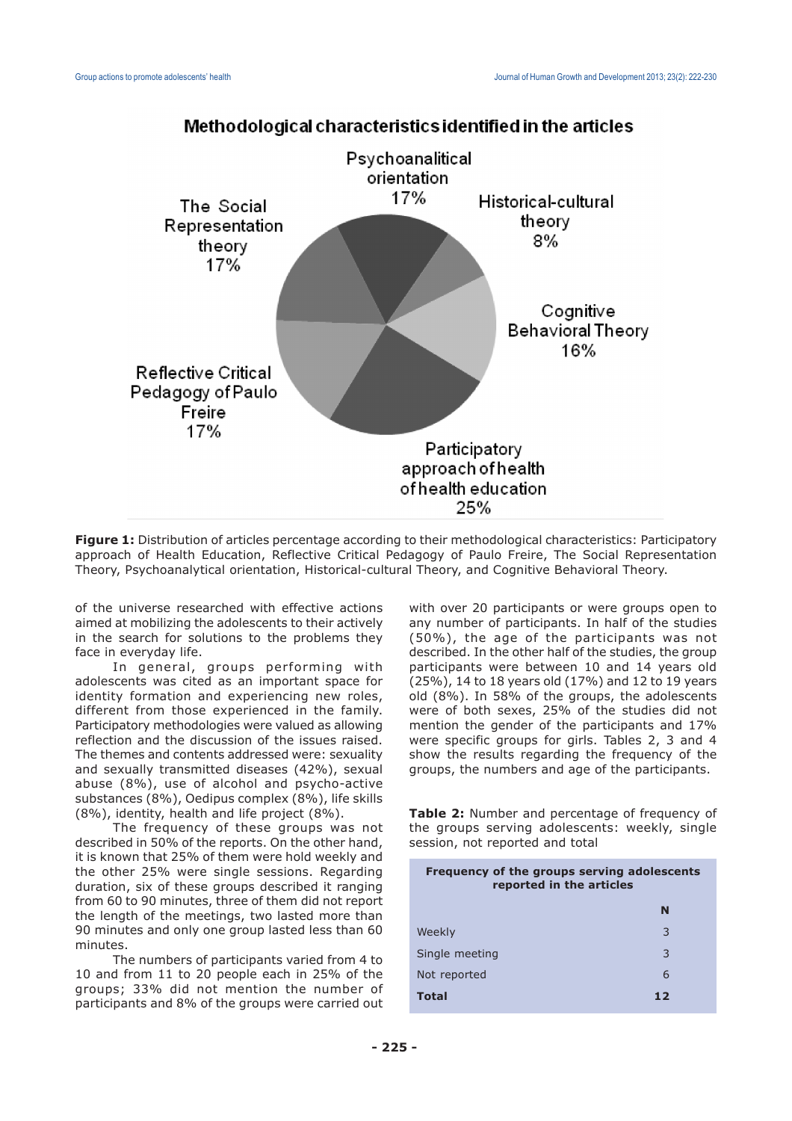

# Methodological characteristics identified in the articles

**Figure 1:** Distribution of articles percentage according to their methodological characteristics: Participatory approach of Health Education, Reflective Critical Pedagogy of Paulo Freire, The Social Representation Theory, Psychoanalytical orientation, Historical-cultural Theory, and Cognitive Behavioral Theory.

of the universe researched with effective actions aimed at mobilizing the adolescents to their actively in the search for solutions to the problems they face in everyday life.

In general, groups performing with adolescents was cited as an important space for identity formation and experiencing new roles, different from those experienced in the family. Participatory methodologies were valued as allowing reflection and the discussion of the issues raised. The themes and contents addressed were: sexuality and sexually transmitted diseases (42%), sexual abuse (8%), use of alcohol and psycho-active substances (8%), Oedipus complex (8%), life skills (8%), identity, health and life project (8%).

The frequency of these groups was not described in 50% of the reports. On the other hand, it is known that 25% of them were hold weekly and the other 25% were single sessions. Regarding duration, six of these groups described it ranging from 60 to 90 minutes, three of them did not report the length of the meetings, two lasted more than 90 minutes and only one group lasted less than 60 minutes.

The numbers of participants varied from 4 to 10 and from 11 to 20 people each in 25% of the groups; 33% did not mention the number of participants and 8% of the groups were carried out with over 20 participants or were groups open to any number of participants. In half of the studies (50%), the age of the participants was not described. In the other half of the studies, the group participants were between 10 and 14 years old (25%), 14 to 18 years old (17%) and 12 to 19 years old (8%). In 58% of the groups, the adolescents were of both sexes, 25% of the studies did not mention the gender of the participants and 17% were specific groups for girls. Tables 2, 3 and 4 show the results regarding the frequency of the groups, the numbers and age of the participants.

**Table 2:** Number and percentage of frequency of the groups serving adolescents: weekly, single session, not reported and total

| Frequency of the groups serving adolescents<br>reported in the articles |    |  |
|-------------------------------------------------------------------------|----|--|
|                                                                         | N  |  |
| Weekly                                                                  | 3  |  |
| Single meeting                                                          | 3  |  |
| Not reported                                                            | 6  |  |
| <b>Total</b>                                                            | 12 |  |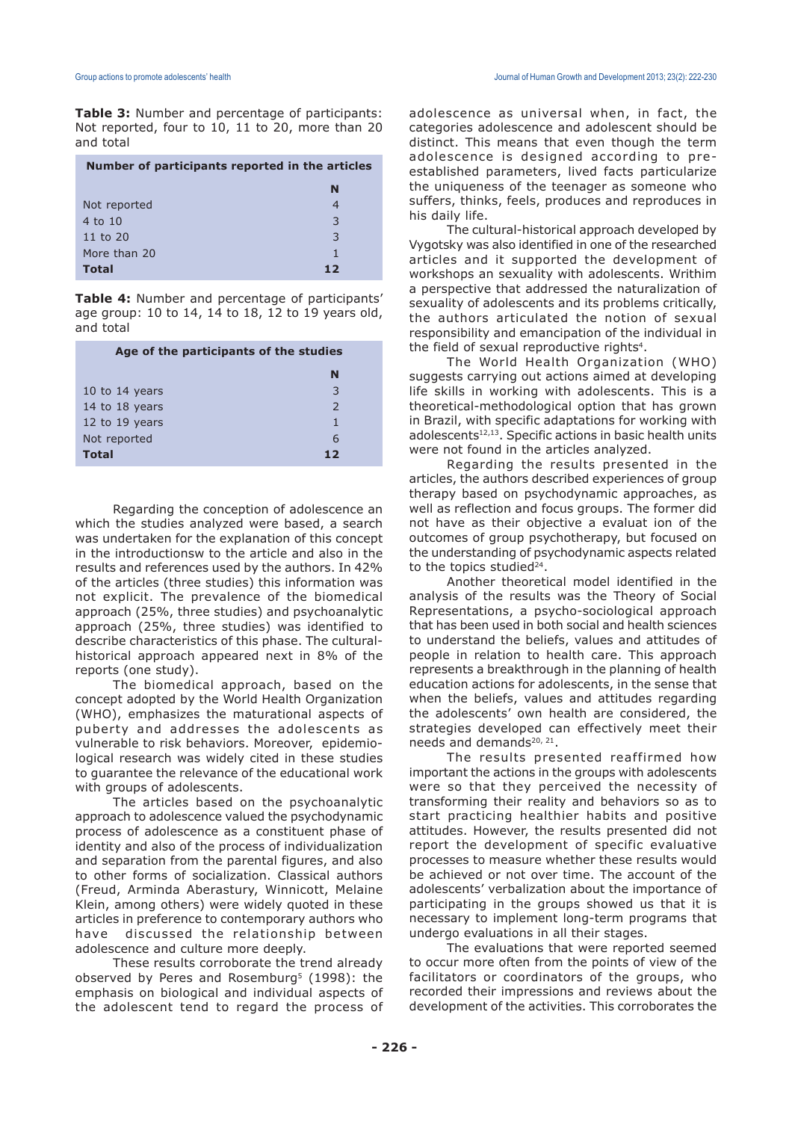**Table 3:** Number and percentage of participants: Not reported, four to 10, 11 to 20, more than 20 and total

| Number of participants reported in the articles |    |
|-------------------------------------------------|----|
|                                                 | N  |
| Not reported                                    | 4  |
| 4 to 10                                         | 3  |
| 11 to $20$                                      | 3  |
| More than 20                                    |    |
| <b>Total</b>                                    | 12 |

**Table 4:** Number and percentage of participants' age group: 10 to 14, 14 to 18, 12 to 19 years old, and total

| Age of the participants of the studies |               |  |
|----------------------------------------|---------------|--|
|                                        | N             |  |
| 10 to 14 years                         | 3             |  |
| 14 to 18 years                         | $\mathcal{L}$ |  |
| 12 to 19 years                         | 1             |  |
| Not reported                           | 6             |  |
| Total                                  | 12            |  |

Regarding the conception of adolescence an which the studies analyzed were based, a search was undertaken for the explanation of this concept in the introductionsw to the article and also in the results and references used by the authors. In 42% of the articles (three studies) this information was not explicit. The prevalence of the biomedical approach (25%, three studies) and psychoanalytic approach (25%, three studies) was identified to describe characteristics of this phase. The culturalhistorical approach appeared next in 8% of the reports (one study).

The biomedical approach, based on the concept adopted by the World Health Organization (WHO), emphasizes the maturational aspects of puberty and addresses the adolescents as vulnerable to risk behaviors. Moreover, epidemiological research was widely cited in these studies to guarantee the relevance of the educational work with groups of adolescents.

The articles based on the psychoanalytic approach to adolescence valued the psychodynamic process of adolescence as a constituent phase of identity and also of the process of individualization and separation from the parental figures, and also to other forms of socialization. Classical authors (Freud, Arminda Aberastury, Winnicott, Melaine Klein, among others) were widely quoted in these articles in preference to contemporary authors who have discussed the relationship between adolescence and culture more deeply.

These results corroborate the trend already observed by Peres and Rosemburg<sup>5</sup> (1998): the emphasis on biological and individual aspects of the adolescent tend to regard the process of

adolescence as universal when, in fact, the categories adolescence and adolescent should be distinct. This means that even though the term adolescence is designed according to preestablished parameters, lived facts particularize the uniqueness of the teenager as someone who suffers, thinks, feels, produces and reproduces in his daily life.

The cultural-historical approach developed by Vygotsky was also identified in one of the researched articles and it supported the development of workshops an sexuality with adolescents. Writhim a perspective that addressed the naturalization of sexuality of adolescents and its problems critically, the authors articulated the notion of sexual responsibility and emancipation of the individual in the field of sexual reproductive rights<sup>4</sup>.

The World Health Organization (WHO) suggests carrying out actions aimed at developing life skills in working with adolescents. This is a theoretical-methodological option that has grown in Brazil, with specific adaptations for working with adolescents<sup>12,13</sup>. Specific actions in basic health units were not found in the articles analyzed.

Regarding the results presented in the articles, the authors described experiences of group therapy based on psychodynamic approaches, as well as reflection and focus groups. The former did not have as their objective a evaluat ion of the outcomes of group psychotherapy, but focused on the understanding of psychodynamic aspects related to the topics studied $24$ .

Another theoretical model identified in the analysis of the results was the Theory of Social Representations, a psycho-sociological approach that has been used in both social and health sciences to understand the beliefs, values and attitudes of people in relation to health care. This approach represents a breakthrough in the planning of health education actions for adolescents, in the sense that when the beliefs, values and attitudes regarding the adolescents' own health are considered, the strategies developed can effectively meet their needs and demands<sup>20, 21</sup>.

The results presented reaffirmed how important the actions in the groups with adolescents were so that they perceived the necessity of transforming their reality and behaviors so as to start practicing healthier habits and positive attitudes. However, the results presented did not report the development of specific evaluative processes to measure whether these results would be achieved or not over time. The account of the adolescents' verbalization about the importance of participating in the groups showed us that it is necessary to implement long-term programs that undergo evaluations in all their stages.

The evaluations that were reported seemed to occur more often from the points of view of the facilitators or coordinators of the groups, who recorded their impressions and reviews about the development of the activities. This corroborates the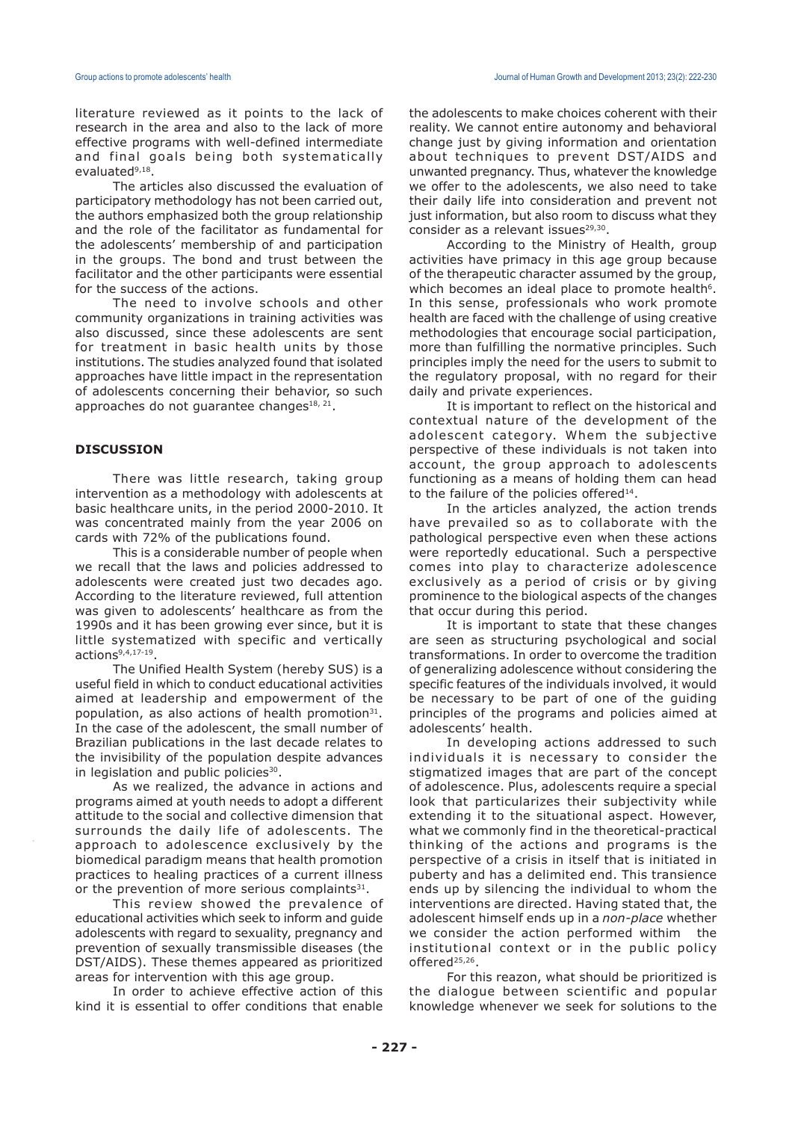literature reviewed as it points to the lack of research in the area and also to the lack of more effective programs with well-defined intermediate and final goals being both systematically evaluated<sup>9,18</sup>.

The articles also discussed the evaluation of participatory methodology has not been carried out, the authors emphasized both the group relationship and the role of the facilitator as fundamental for the adolescents' membership of and participation in the groups. The bond and trust between the facilitator and the other participants were essential for the success of the actions.

The need to involve schools and other community organizations in training activities was also discussed, since these adolescents are sent for treatment in basic health units by those institutions. The studies analyzed found that isolated approaches have little impact in the representation of adolescents concerning their behavior, so such approaches do not guarantee changes<sup>18, 21</sup>.

## **DISCUSSION**

There was little research, taking group intervention as a methodology with adolescents at basic healthcare units, in the period 2000-2010. It was concentrated mainly from the year 2006 on cards with 72% of the publications found.

This is a considerable number of people when we recall that the laws and policies addressed to adolescents were created just two decades ago. According to the literature reviewed, full attention was given to adolescents' healthcare as from the 1990s and it has been growing ever since, but it is little systematized with specific and vertically actions<sup>9,4,17-19</sup>.

The Unified Health System (hereby SUS) is a useful field in which to conduct educational activities aimed at leadership and empowerment of the population, as also actions of health promotion $31$ . In the case of the adolescent, the small number of Brazilian publications in the last decade relates to the invisibility of the population despite advances in legislation and public policies<sup>30</sup>.

As we realized, the advance in actions and programs aimed at youth needs to adopt a different attitude to the social and collective dimension that surrounds the daily life of adolescents. The approach to adolescence exclusively by the biomedical paradigm means that health promotion practices to healing practices of a current illness or the prevention of more serious complaints $31$ .

This review showed the prevalence of educational activities which seek to inform and guide adolescents with regard to sexuality, pregnancy and prevention of sexually transmissible diseases (the DST/AIDS). These themes appeared as prioritized areas for intervention with this age group.

In order to achieve effective action of this kind it is essential to offer conditions that enable

the adolescents to make choices coherent with their reality. We cannot entire autonomy and behavioral change just by giving information and orientation about techniques to prevent DST/AIDS and unwanted pregnancy. Thus, whatever the knowledge we offer to the adolescents, we also need to take their daily life into consideration and prevent not just information, but also room to discuss what they consider as a relevant issues $29,30$ .

According to the Ministry of Health, group activities have primacy in this age group because of the therapeutic character assumed by the group, which becomes an ideal place to promote health<sup>6</sup>. In this sense, professionals who work promote health are faced with the challenge of using creative methodologies that encourage social participation, more than fulfilling the normative principles. Such principles imply the need for the users to submit to the regulatory proposal, with no regard for their daily and private experiences.

It is important to reflect on the historical and contextual nature of the development of the adolescent category. Whem the subjective perspective of these individuals is not taken into account, the group approach to adolescents functioning as a means of holding them can head to the failure of the policies offered $14$ .

In the articles analyzed, the action trends have prevailed so as to collaborate with the pathological perspective even when these actions were reportedly educational. Such a perspective comes into play to characterize adolescence exclusively as a period of crisis or by giving prominence to the biological aspects of the changes that occur during this period.

It is important to state that these changes are seen as structuring psychological and social transformations. In order to overcome the tradition of generalizing adolescence without considering the specific features of the individuals involved, it would be necessary to be part of one of the guiding principles of the programs and policies aimed at adolescents' health.

In developing actions addressed to such individuals it is necessary to consider the stigmatized images that are part of the concept of adolescence. Plus, adolescents require a special look that particularizes their subjectivity while extending it to the situational aspect. However, what we commonly find in the theoretical-practical thinking of the actions and programs is the perspective of a crisis in itself that is initiated in puberty and has a delimited end. This transience ends up by silencing the individual to whom the interventions are directed. Having stated that, the adolescent himself ends up in a *non-place* whether we consider the action performed withim the institutional context or in the public policy offered<sup>25,26</sup>.

For this reazon, what should be prioritized is the dialogue between scientific and popular knowledge whenever we seek for solutions to the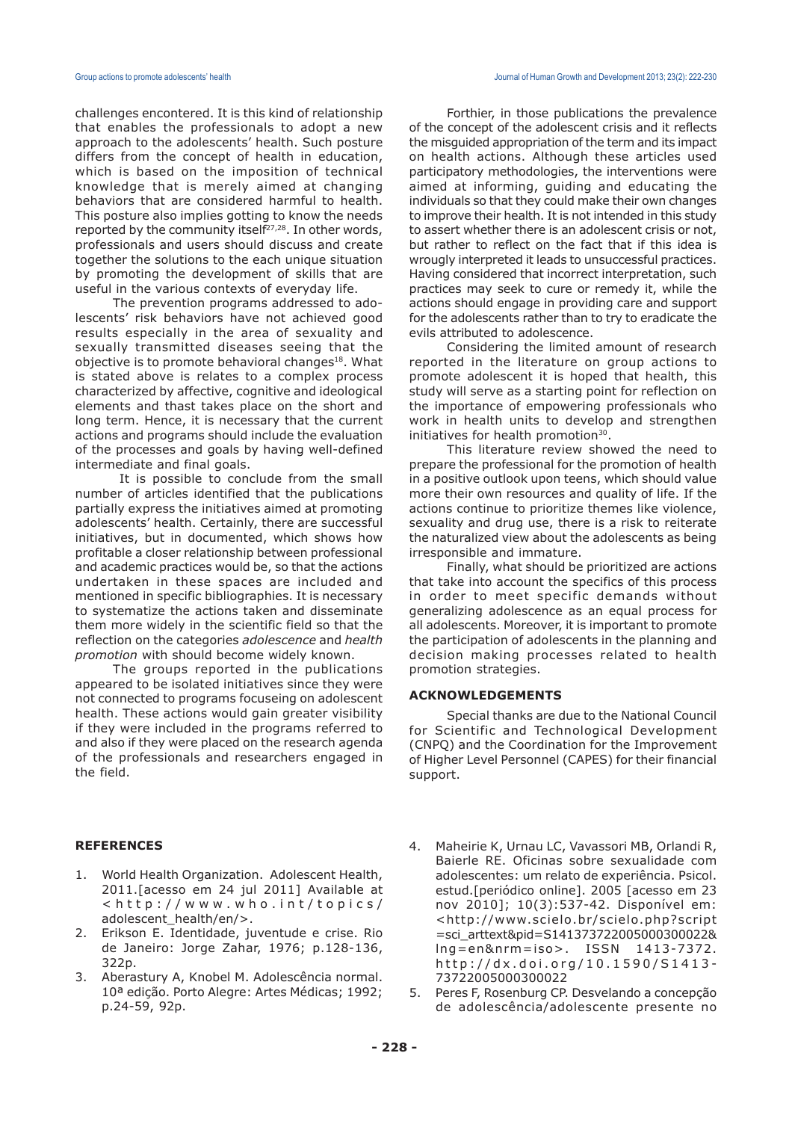challenges encontered. It is this kind of relationship that enables the professionals to adopt a new approach to the adolescents' health. Such posture differs from the concept of health in education, which is based on the imposition of technical knowledge that is merely aimed at changing behaviors that are considered harmful to health. This posture also implies gotting to know the needs reported by the community itself $27,28$ . In other words, professionals and users should discuss and create together the solutions to the each unique situation by promoting the development of skills that are useful in the various contexts of everyday life.

The prevention programs addressed to adolescents' risk behaviors have not achieved good results especially in the area of sexuality and sexually transmitted diseases seeing that the objective is to promote behavioral changes<sup>18</sup>. What is stated above is relates to a complex process characterized by affective, cognitive and ideological elements and thast takes place on the short and long term. Hence, it is necessary that the current actions and programs should include the evaluation of the processes and goals by having well-defined intermediate and final goals.

It is possible to conclude from the small number of articles identified that the publications partially express the initiatives aimed at promoting adolescents' health. Certainly, there are successful initiatives, but in documented, which shows how profitable a closer relationship between professional and academic practices would be, so that the actions undertaken in these spaces are included and mentioned in specific bibliographies. It is necessary to systematize the actions taken and disseminate them more widely in the scientific field so that the reflection on the categories *adolescence* and *health promotion* with should become widely known.

The groups reported in the publications appeared to be isolated initiatives since they were not connected to programs focuseing on adolescent health. These actions would gain greater visibility if they were included in the programs referred to and also if they were placed on the research agenda of the professionals and researchers engaged in the field.

### **REFERENCES**

- 1. World Health Organization. Adolescent Health, 2011.[acesso em 24 jul 2011] Available at <http://www.who.int/topics/ adolescent\_health/en/>.
- 2. Erikson E. Identidade, juventude e crise. Rio de Janeiro: Jorge Zahar, 1976; p.128-136, 322p.
- 3. Aberastury A, Knobel M. Adolescência normal. 10ª edição. Porto Alegre: Artes Médicas; 1992; p.24-59, 92p.

Forthier, in those publications the prevalence of the concept of the adolescent crisis and it reflects the misguided appropriation of the term and its impact on health actions. Although these articles used participatory methodologies, the interventions were aimed at informing, guiding and educating the individuals so that they could make their own changes to improve their health. It is not intended in this study to assert whether there is an adolescent crisis or not, but rather to reflect on the fact that if this idea is wrougly interpreted it leads to unsuccessful practices. Having considered that incorrect interpretation, such practices may seek to cure or remedy it, while the actions should engage in providing care and support for the adolescents rather than to try to eradicate the evils attributed to adolescence.

Considering the limited amount of research reported in the literature on group actions to promote adolescent it is hoped that health, this study will serve as a starting point for reflection on the importance of empowering professionals who work in health units to develop and strengthen initiatives for health promotion $30$ .

This literature review showed the need to prepare the professional for the promotion of health in a positive outlook upon teens, which should value more their own resources and quality of life. If the actions continue to prioritize themes like violence, sexuality and drug use, there is a risk to reiterate the naturalized view about the adolescents as being irresponsible and immature.

Finally, what should be prioritized are actions that take into account the specifics of this process in order to meet specific demands without generalizing adolescence as an equal process for all adolescents. Moreover, it is important to promote the participation of adolescents in the planning and decision making processes related to health promotion strategies.

#### **ACKNOWLEDGEMENTS**

Special thanks are due to the National Council for Scientific and Technological Development (CNPQ) and the Coordination for the Improvement of Higher Level Personnel (CAPES) for their financial support.

- 4. Maheirie K, Urnau LC, Vavassori MB, Orlandi R, Baierle RE. Oficinas sobre sexualidade com adolescentes: um relato de experiência. Psicol. estud.[periódico online]. 2005 [acesso em 23 nov 2010]; 10(3):537-42. Disponível em: <http://www.scielo.br/scielo.php?script =sci\_arttext&pid=S141373722005000300022& lng=en&nrm=iso>. ISSN 1413-7372. http://dx.doi.org/10.1590/S1413- 73722005000300022
- 5. Peres F, Rosenburg CP. Desvelando a concepção de adolescência/adolescente presente no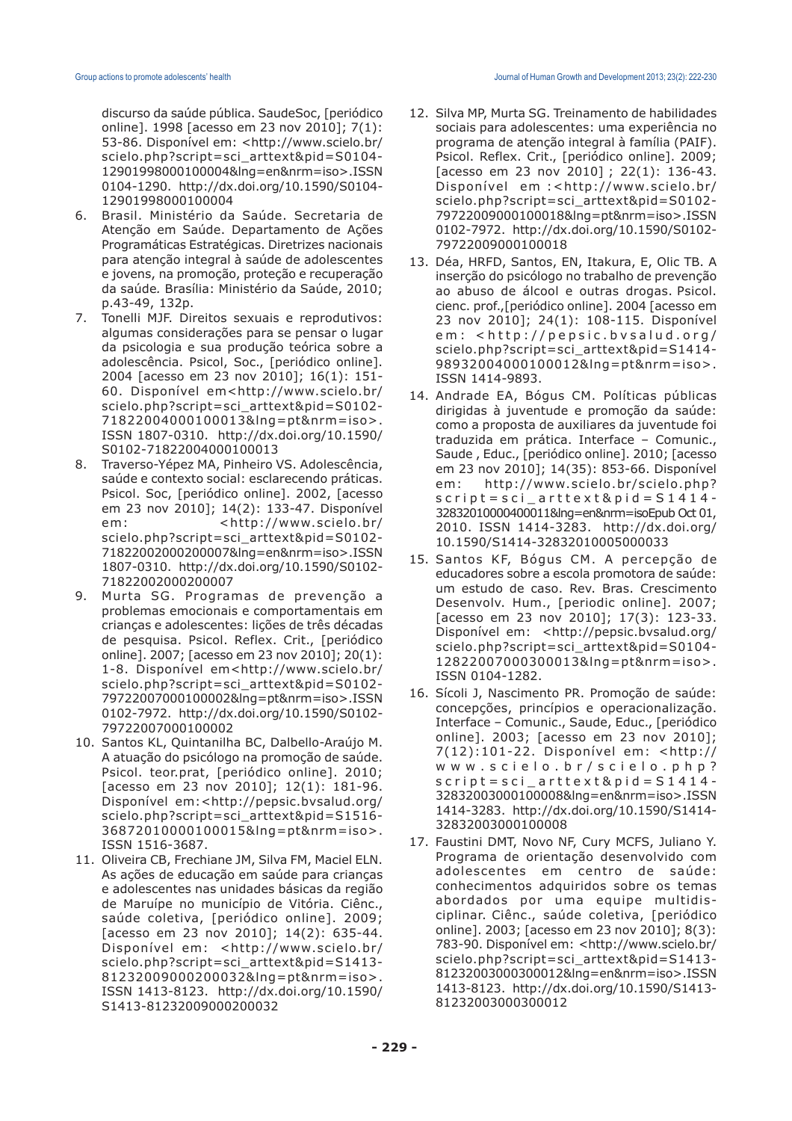discurso da saúde pública. SaudeSoc, [periódico online]. 1998 [acesso em 23 nov 2010]; 7(1): 53-86. Disponível em: <http://www.scielo.br/ scielo.php?script=sci\_arttext&pid=S0104- 12901998000100004&lng=en&nrm=iso>.ISSN 0104-1290. http://dx.doi.org/10.1590/S0104- 12901998000100004

- 6. Brasil. Ministério da Saúde. Secretaria de Atenção em Saúde. Departamento de Ações Programáticas Estratégicas. Diretrizes nacionais para atenção integral à saúde de adolescentes e jovens, na promoção, proteção e recuperação da saúde*.* Brasília: Ministério da Saúde, 2010; p.43-49, 132p.
- 7. Tonelli MJF. Direitos sexuais e reprodutivos: algumas considerações para se pensar o lugar da psicologia e sua produção teórica sobre a adolescência. Psicol, Soc., [periódico online]. 2004 [acesso em 23 nov 2010]; 16(1): 151- 60. Disponível em<http://www.scielo.br/ scielo.php?script=sci\_arttext&pid=S0102- 71822004000100013&lng=pt&nrm=iso>. ISSN 1807-0310. http://dx.doi.org/10.1590/ S0102-71822004000100013
- 8. Traverso-Yépez MA, Pinheiro VS. Adolescência, saúde e contexto social: esclarecendo práticas. Psicol. Soc, [periódico online]. 2002, [acesso em 23 nov 2010]; 14(2): 133-47. Disponível em: <http://www.scielo.br/ scielo.php?script=sci\_arttext&pid=S0102- 71822002000200007&lng=en&nrm=iso>.ISSN 1807-0310. http://dx.doi.org/10.1590/S0102- 71822002000200007
- 9. Murta SG. Programas de prevenção a problemas emocionais e comportamentais em crianças e adolescentes: lições de três décadas de pesquisa. Psicol. Reflex. Crit., [periódico online]. 2007; [acesso em 23 nov 2010]; 20(1): 1-8. Disponível em<http://www.scielo.br/ scielo.php?script=sci\_arttext&pid=S0102- 79722007000100002&lng=pt&nrm=iso>.ISSN 0102-7972. http://dx.doi.org/10.1590/S0102- 79722007000100002
- 10. Santos KL, Quintanilha BC, Dalbello-Araújo M. A atuação do psicólogo na promoção de saúde. Psicol. teor.prat, [periódico online]. 2010; [acesso em 23 nov 2010]; 12(1): 181-96. Disponível em:<http://pepsic.bvsalud.org/ scielo.php?script=sci\_arttext&pid=S1516- 36872010000100015&lng=pt&nrm=iso>. ISSN 1516-3687.
- 11. Oliveira CB, Frechiane JM, Silva FM, Maciel ELN. As ações de educação em saúde para crianças e adolescentes nas unidades básicas da região de Maruípe no município de Vitória. Ciênc., saúde coletiva, [periódico online]. 2009; [acesso em 23 nov 2010]; 14(2): 635-44. Disponível em: <http://www.scielo.br/ scielo.php?script=sci\_arttext&pid=S1413- 81232009000200032&lng=pt&nrm=iso>. ISSN 1413-8123. http://dx.doi.org/10.1590/ S1413-81232009000200032
- 12. Silva MP, Murta SG. Treinamento de habilidades sociais para adolescentes: uma experiência no programa de atenção integral à família (PAIF). Psicol. Reflex. Crit., [periódico online]. 2009; [acesso em 23 nov 2010] ; 22(1): 136-43. Disponível em :<http://www.scielo.br/ scielo.php?script=sci\_arttext&pid=S0102- 79722009000100018&lng=pt&nrm=iso>.ISSN 0102-7972. http://dx.doi.org/10.1590/S0102- 79722009000100018
- 13. Déa, HRFD, Santos, EN, Itakura, E, Olic TB. A inserção do psicólogo no trabalho de prevenção ao abuso de álcool e outras drogas. Psicol. cienc. prof.,[periódico online]. 2004 [acesso em 23 nov 2010]; 24(1): 108-115. Disponível em: <http://pepsic.bvsalud.org/ scielo.php?script=sci\_arttext&pid=S1414- 98932004000100012&lng=pt&nrm=iso>. ISSN 1414-9893.
- 14. Andrade EA, Bógus CM. Políticas públicas dirigidas à juventude e promoção da saúde: como a proposta de auxiliares da juventude foi traduzida em prática. Interface – Comunic., Saude , Educ., [periódico online]. 2010; [acesso em 23 nov 2010]; 14(35): 853-66. Disponível em: http://www.scielo.br/scielo.php? script=sci\_arttext&pid=S1414- 32832010000400011&lng=en&nrm=isoEpub Oct 01, 2010. ISSN 1414-3283. http://dx.doi.org/ 10.1590/S1414-32832010005000033
- 15. Santos KF, Bógus CM. A percepção de educadores sobre a escola promotora de saúde: um estudo de caso. Rev. Bras. Crescimento Desenvolv. Hum., [periodic online]. 2007; [acesso em 23 nov 2010]; 17(3): 123-33. Disponível em: <http://pepsic.bvsalud.org/ scielo.php?script=sci\_arttext&pid=S0104- 12822007000300013&lng=pt&nrm=iso>. ISSN 0104-1282.
- 16. Sícoli J, Nascimento PR. Promoção de saúde: concepções, princípios e operacionalização. Interface – Comunic., Saude, Educ., [periódico online]. 2003; [acesso em 23 nov 2010]; 7(12):101-22. Disponível em: <http:// www.scielo.br/scielo.php? script=sci\_arttext&pid=S1414- 32832003000100008&lng=en&nrm=iso>.ISSN 1414-3283. http://dx.doi.org/10.1590/S1414- 32832003000100008
- 17. Faustini DMT, Novo NF, Cury MCFS, Juliano Y. Programa de orientação desenvolvido com adolescentes em centro de saúde: conhecimentos adquiridos sobre os temas abordados por uma equipe multidisciplinar. Ciênc., saúde coletiva, [periódico online]. 2003; [acesso em 23 nov 2010]; 8(3): 783-90. Disponível em: <http://www.scielo.br/ scielo.php?script=sci\_arttext&pid=S1413- 81232003000300012&lng=en&nrm=iso>.ISSN 1413-8123. http://dx.doi.org/10.1590/S1413- 81232003000300012